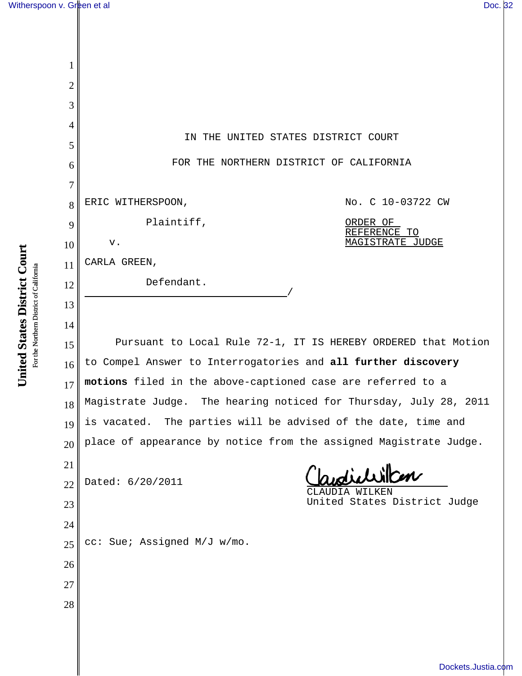| $\mathbf{1}$   |                                                                   |
|----------------|-------------------------------------------------------------------|
| $\overline{2}$ |                                                                   |
| 3              |                                                                   |
| $\overline{4}$ |                                                                   |
| 5              | IN THE UNITED STATES DISTRICT COURT                               |
| 6              | FOR THE NORTHERN DISTRICT OF CALIFORNIA                           |
| $\overline{7}$ |                                                                   |
| 8              | No. C 10-03722 CW<br>ERIC WITHERSPOON,                            |
| 9              | Plaintiff,<br>ORDER OF<br>REFERENCE TO                            |
| 10             | <b>MAGISTRATE JUDGE</b><br>${\bf v}$ .                            |
| 11             | CARLA GREEN,                                                      |
| 12             | Defendant.                                                        |
| 13             |                                                                   |
| 14             | Pursuant to Local Rule 72-1, IT IS HEREBY ORDERED that Motion     |
| 15             | to Compel Answer to Interrogatories and all further discovery     |
| 16             | motions filed in the above-captioned case are referred to a       |
| 17             | Magistrate Judge. The hearing noticed for Thursday, July 28, 2011 |
| 18<br>19       | is vacated. The parties will be advised of the date, time and     |
| 20             | place of appearance by notice from the assigned Magistrate Judge. |
| 21             |                                                                   |
| 22             | within<br>Dated: 6/20/2011                                        |
| 23             | WILKEN<br>AUDIA<br>United States District Judge                   |
| 24             |                                                                   |
| 25             | cc: Sue; Assigned M/J w/mo.                                       |
| 26             |                                                                   |
| 27             |                                                                   |
| 28             |                                                                   |
|                |                                                                   |

United States District Court **United States District Court** For the Northern District of California For the Northern District of California